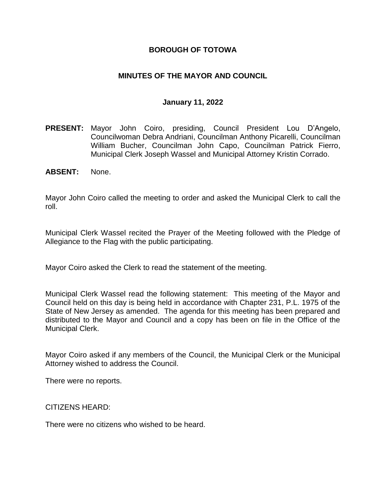## **BOROUGH OF TOTOWA**

## **MINUTES OF THE MAYOR AND COUNCIL**

#### **January 11, 2022**

- **PRESENT:** Mayor John Coiro, presiding, Council President Lou D'Angelo, Councilwoman Debra Andriani, Councilman Anthony Picarelli, Councilman William Bucher, Councilman John Capo, Councilman Patrick Fierro, Municipal Clerk Joseph Wassel and Municipal Attorney Kristin Corrado.
- **ABSENT:** None.

Mayor John Coiro called the meeting to order and asked the Municipal Clerk to call the roll.

Municipal Clerk Wassel recited the Prayer of the Meeting followed with the Pledge of Allegiance to the Flag with the public participating.

Mayor Coiro asked the Clerk to read the statement of the meeting.

Municipal Clerk Wassel read the following statement: This meeting of the Mayor and Council held on this day is being held in accordance with Chapter 231, P.L. 1975 of the State of New Jersey as amended. The agenda for this meeting has been prepared and distributed to the Mayor and Council and a copy has been on file in the Office of the Municipal Clerk.

Mayor Coiro asked if any members of the Council, the Municipal Clerk or the Municipal Attorney wished to address the Council.

There were no reports.

CITIZENS HEARD:

There were no citizens who wished to be heard.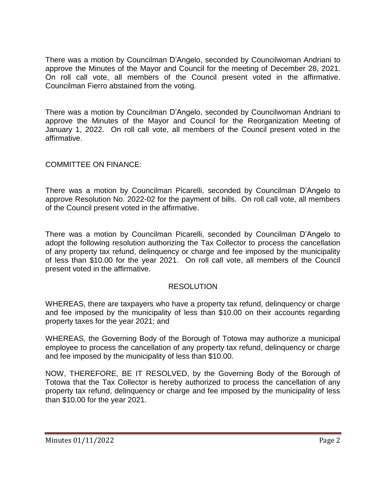There was a motion by Councilman D'Angelo, seconded by Councilwoman Andriani to approve the Minutes of the Mayor and Council for the meeting of December 28, 2021. On roll call vote, all members of the Council present voted in the affirmative. Councilman Fierro abstained from the voting.

There was a motion by Councilman D'Angelo, seconded by Councilwoman Andriani to approve the Minutes of the Mayor and Council for the Reorganization Meeting of January 1, 2022. On roll call vote, all members of the Council present voted in the affirmative.

## COMMITTEE ON FINANCE:

There was a motion by Councilman Picarelli, seconded by Councilman D'Angelo to approve Resolution No. 2022-02 for the payment of bills. On roll call vote, all members of the Council present voted in the affirmative.

There was a motion by Councilman Picarelli, seconded by Councilman D'Angelo to adopt the following resolution authorizing the Tax Collector to process the cancellation of any property tax refund, delinquency or charge and fee imposed by the municipality of less than \$10.00 for the year 2021. On roll call vote, all members of the Council present voted in the affirmative.

## RESOLUTION

WHEREAS, there are taxpayers who have a property tax refund, delinquency or charge and fee imposed by the municipality of less than \$10.00 on their accounts regarding property taxes for the year 2021; and

WHEREAS, the Governing Body of the Borough of Totowa may authorize a municipal employee to process the cancellation of any property tax refund, delinquency or charge and fee imposed by the municipality of less than \$10.00.

NOW, THEREFORE, BE IT RESOLVED, by the Governing Body of the Borough of Totowa that the Tax Collector is hereby authorized to process the cancellation of any property tax refund, delinquency or charge and fee imposed by the municipality of less than \$10.00 for the year 2021.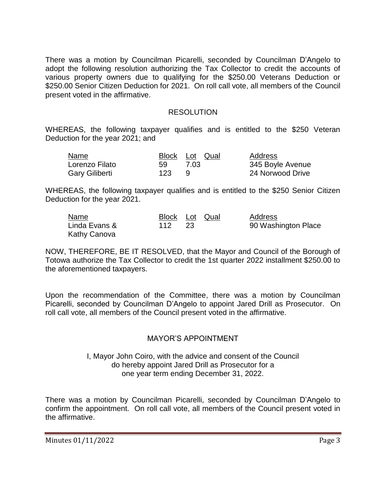There was a motion by Councilman Picarelli, seconded by Councilman D'Angelo to adopt the following resolution authorizing the Tax Collector to credit the accounts of various property owners due to qualifying for the \$250.00 Veterans Deduction or \$250.00 Senior Citizen Deduction for 2021. On roll call vote, all members of the Council present voted in the affirmative.

#### RESOLUTION

WHEREAS, the following taxpayer qualifies and is entitled to the \$250 Veteran Deduction for the year 2021; and

| Name                  |     | Block Lot Qual | Address          |
|-----------------------|-----|----------------|------------------|
| Lorenzo Filato        | 59  | 7.03           | 345 Boyle Avenue |
| <b>Gary Giliberti</b> | 123 |                | 24 Norwood Drive |

WHEREAS, the following taxpayer qualifies and is entitled to the \$250 Senior Citizen Deduction for the year 2021.

| Name          | Block Lot Qual |  | Address             |
|---------------|----------------|--|---------------------|
| Linda Evans & | 112            |  | 90 Washington Place |
| Kathy Canova  |                |  |                     |

NOW, THEREFORE, BE IT RESOLVED, that the Mayor and Council of the Borough of Totowa authorize the Tax Collector to credit the 1st quarter 2022 installment \$250.00 to the aforementioned taxpayers.

Upon the recommendation of the Committee, there was a motion by Councilman Picarelli, seconded by Councilman D'Angelo to appoint Jared Drill as Prosecutor. On roll call vote, all members of the Council present voted in the affirmative.

## MAYOR'S APPOINTMENT

I, Mayor John Coiro, with the advice and consent of the Council do hereby appoint Jared Drill as Prosecutor for a one year term ending December 31, 2022.

There was a motion by Councilman Picarelli, seconded by Councilman D'Angelo to confirm the appointment. On roll call vote, all members of the Council present voted in the affirmative.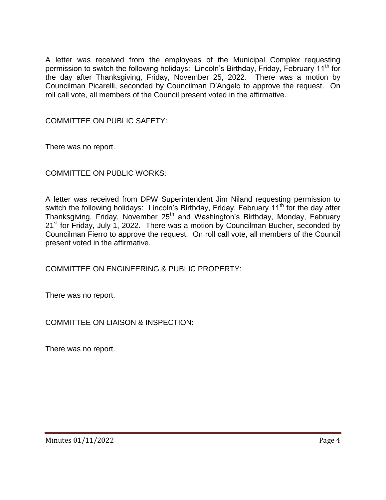A letter was received from the employees of the Municipal Complex requesting permission to switch the following holidays: Lincoln's Birthday, Friday, February 11<sup>th</sup> for the day after Thanksgiving, Friday, November 25, 2022. There was a motion by Councilman Picarelli, seconded by Councilman D'Angelo to approve the request. On roll call vote, all members of the Council present voted in the affirmative.

COMMITTEE ON PUBLIC SAFETY:

There was no report.

COMMITTEE ON PUBLIC WORKS:

A letter was received from DPW Superintendent Jim Niland requesting permission to switch the following holidays: Lincoln's Birthday, Friday, February 11<sup>th</sup> for the day after Thanksgiving, Friday, November 25<sup>th</sup> and Washington's Birthday, Monday, February 21<sup>st</sup> for Friday, July 1, 2022. There was a motion by Councilman Bucher, seconded by Councilman Fierro to approve the request. On roll call vote, all members of the Council present voted in the affirmative.

COMMITTEE ON ENGINEERING & PUBLIC PROPERTY:

There was no report.

COMMITTEE ON LIAISON & INSPECTION:

There was no report.